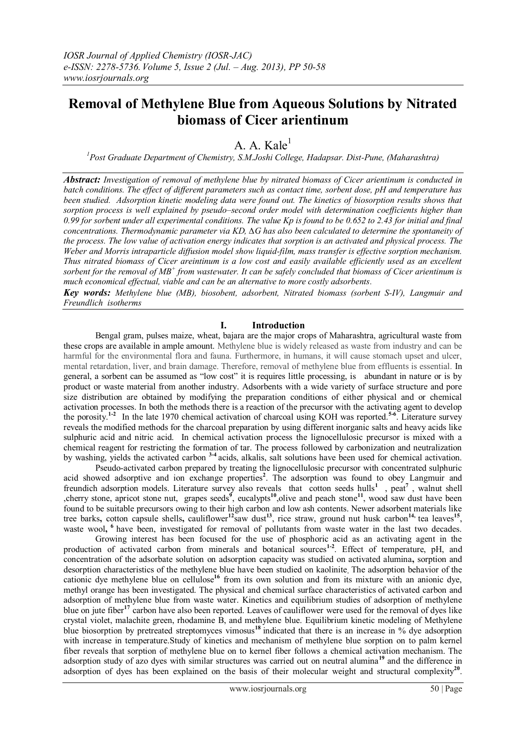# **Removal of Methylene Blue from Aqueous Solutions by Nitrated biomass of Cicer arientinum**

# A. A. Kale<sup>1</sup>

*<sup>1</sup>Post Graduate Department of Chemistry, S.M.Joshi College, Hadapsar. Dist-Pune, (Maharashtra)*

*Abstract: Investigation of removal of methylene blue by nitrated biomass of Cicer arientinum is conducted in batch conditions. The effect of different parameters such as contact time, sorbent dose, pH and temperature has been studied. Adsorption kinetic modeling data were found out. The kinetics of biosorption results shows that sorption process is well explained by pseudo–second order model with determination coefficients higher than 0.99 for sorbent under all experimental conditions. The value Kp is found to be 0.652 to 2.43 for initial and final concentrations. Thermodynamic parameter via KD, ∆G has also been calculated to determine the spontaneity of the process. The low value of activation energy indicates that sorption is an activated and physical process. The Weber and Morris intraparticle diffusion model show liquid-film, mass transfer is effective sorption mechanism. Thus nitrated biomass of Cicer areintinum is a low cost and easily available efficiently used as an excellent sorbent for the removal of MB + from wastewater. It can be safely concluded that biomass of Cicer arientinum is much economical effectual, viable and can be an alternative to more costly adsorbents.*

*Key words: Methylene blue (MB), biosobent, adsorbent, Nitrated biomass (sorbent S-IV), Langmuir and Freundlich isotherms*

#### **I. Introduction**

Bengal gram, pulses maize, wheat, bajara are the major crops of Maharashtra, agricultural waste from these crops are available in ample amount. Methylene blue is widely released as waste from industry and can be harmful for the environmental flora and fauna. Furthermore, in humans, it will cause stomach upset and ulcer, mental retardation, liver, and brain damage. Therefore, removal of methylene blue from effluents is essential. In general, a sorbent can be assumed as "low cost" it is requires little processing, is abundant in nature or is by product or waste material from another industry. Adsorbents with a wide variety of surface structure and pore size distribution are obtained by modifying the preparation conditions of either physical and or chemical activation processes. In both the methods there is a reaction of the precursor with the activating agent to develop the porosity.**1-2** In the late 1970 chemical activation of charcoal using KOH was reported.**5-6** . Literature survey reveals the modified methods for the charcoal preparation by using different inorganic salts and heavy acids like sulphuric acid and nitric acid. In chemical activation process the lignocellulosic precursor is mixed with a chemical reagent for restricting the formation of tar. The process followed by carbonization and neutralization by washing, yields the activated carbon **3-4** acids, alkalis, salt solutions have been used for chemical activation.

Pseudo-activated carbon prepared by treating the lignocellulosic precursor with concentrated sulphuric acid showed adsorptive and ion exchange properties<sup>2</sup>. The adsorption was found to obey Langmuir and freundich adsorption models. Literature survey also reveals that cotton seeds hulls<sup>1</sup>, peat<sup>7</sup>, walnut shell , cherry stone, apricot stone nut, grapes seeds<sup> $\dot{9}$ </sup>, eucalypts<sup>10</sup>, olive and peach stone<sup>11</sup>, wood saw dust have been found to be suitable precursors owing to their high carbon and low ash contents. Newer adsorbent materials like tree barks**,** cotton capsule shells**,** cauliflower**<sup>12</sup>**saw dust**<sup>13</sup>**, rice straw, ground nut husk carbon**14,** tea leaves**<sup>15</sup>** , waste wool, <sup>6</sup> have been, investigated for removal of pollutants from waste water in the last two decades.

Growing interest has been focused for the use of phosphoric acid as an activating agent in the production of activated carbon from minerals and botanical sources<sup>1-2</sup>. Effect of temperature, pH, and concentration of the adsorbate solution on adsorption capacity was studied on activated alumina**,** sorption and desorption characteristics of the methylene blue have been studied on kaolinite**.** The adsorption behavior of the cationic dye methylene blue on cellulose**<sup>16</sup>** from its own solution and from its mixture with an anionic dye, methyl orange has been investigated. The physical and chemical surface characteristics of activated carbon and adsorption of methylene blue from waste water. Kinetics and equilibrium studies of adsorption of methylene blue on jute fiber**<sup>17</sup>** carbon have also been reported. Leaves of cauliflower were used for the removal of dyes like crystal violet, malachite green, rhodamine B, and methylene blue. Equilibrium kinetic modeling of Methylene blue biosorption by pretreated streptomyces vimosus**<sup>18</sup>** indicated that there is an increase in % dye adsorption with increase in temperature.Study of kinetics and mechanism of methylene blue sorption on to palm kernel fiber reveals that sorption of methylene blue on to kernel fiber follows a chemical activation mechanism. The adsorption study of azo dyes with similar structures was carried out on neutral alumina**<sup>19</sup>** and the difference in adsorption of dyes has been explained on the basis of their molecular weight and structural complexity<sup>20</sup>.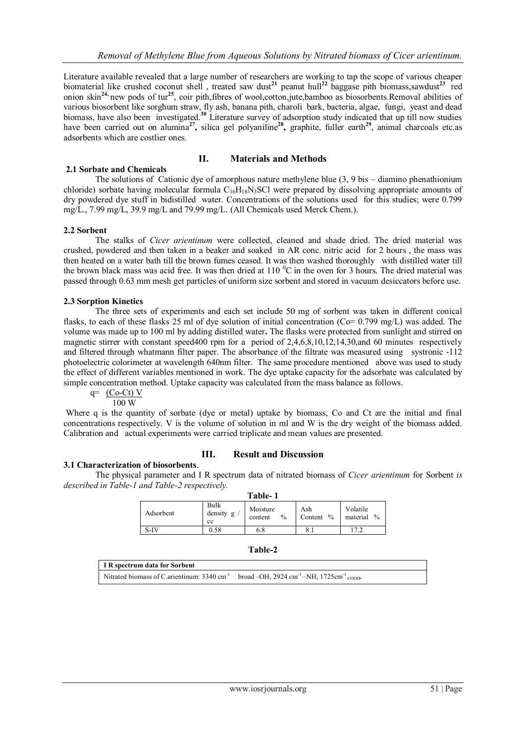Literature available revealed that a large number of researchers are working to tap the scope of various cheaper biomaterial like crushed coconut shell , treated saw dust**<sup>21</sup>** peanut hull**<sup>22</sup>** baggase pith biomass,sawdust**<sup>23</sup>** red onion skin**24,** new pods of tur**<sup>25</sup>** , coir pith,fibres of wool,cotton,jute,bamboo as biosorbents.Removal abilities of various biosorbent like sorghum straw, fly ash, banana pith, charoli bark, bacteria, algae, fungi, yeast and dead biomass, have also been investigated.<sup>30</sup> Literature survey of adsorption study indicated that up till now studies have been carried out on alumina<sup>27</sup>, silica gel polyaniline<sup>28</sup>, graphite, fuller earth<sup>29</sup>, animal charcoals etc.as adsorbents which are costlier ones.

#### **II. Materials and Methods**

**2.1 Sorbate and Chemicals**  The solutions of Cationic dye of amorphous nature methylene blue (3, 9 bis – diamino phenathionium chloride) sorbate having molecular formula  $C_{16}H_{18}N_3SC$ l were prepared by dissolving appropriate amounts of dry powdered dye stuff in bidistilled water. Concentrations of the solutions used for this studies; were 0.799 mg/L., 7.99 mg/L, 39.9 mg/L and 79.99 mg/L. (All Chemicals used Merck Chem.).

#### **2.2 Sorbent**

The stalks of *Cicer arientinum* were collected, cleaned and shade dried. The dried material was crushed, powdered and then taken in a beaker and soaked in AR conc. nitric acid for 2 hours , the mass was then heated on a water bath till the brown fumes ceased. It was then washed thoroughly with distilled water till the brown black mass was acid free. It was then dried at  $110<sup>o</sup>C$  in the oven for 3 hours. The dried material was passed through 0.63 mm mesh get particles of uniform size sorbent and stored in vacuum desiccators before use.

### **2.3 Sorption Kinetics**

The three sets of experiments and each set include 50 mg of sorbent was taken in different conical flasks, to each of these flasks 25 ml of dye solution of initial concentration (Co= 0.799 mg/L) was added. The volume was made up to 100 ml by adding distilled water**.** The flasks were protected from sunlight and stirred on magnetic stirrer with constant speed400 rpm for a period of 2,4,6,8,10,12,14,30,and 60 minutes respectively and filtered through whatmann filter paper. The absorbance of the filtrate was measured using systronic -112 photoelectric colorimeter at wavelength 640nm filter. The same procedure mentioned above was used to study the effect of different variables mentioned in work. The dye uptake capacity for the adsorbate was calculated by simple concentration method. Uptake capacity was calculated from the mass balance as follows.

 $q=$  (Co-Ct) V

100 W

Where q is the quantity of sorbate (dye or metal) uptake by biomass, Co and Ct are the initial and final concentrations respectively. V is the volume of solution in ml and W is the dry weight of the biomass added. Calibration and actual experiments were carried triplicate and mean values are presented.

### **III. Result and Discussion**

### **3.1 Characterization of biosorbents**.

The physical parameter and I R spectrum data of nitrated biomass of *Cicer arientinum* for Sorbent *is described in Table-1 and Table-2 respectively.* **Table- 1**

| таріс- т  |                            |                             |                    |                                       |
|-----------|----------------------------|-----------------------------|--------------------|---------------------------------------|
| Adsorbent | Bulk<br>density<br>g<br>cc | Moisture<br>$\%$<br>content | Ash<br>Content $%$ | Volatile<br>$\frac{0}{0}$<br>material |
| S-IV      | 0.58                       | 6.8                         | 8.1                |                                       |

| I R spectrum data for Sorbent                                                                                             |  |
|---------------------------------------------------------------------------------------------------------------------------|--|
| Nitrated biomass of C.arientinum: 3340 cm <sup>-1</sup> broad -OH, 2924 cm <sup>-1</sup> -NH, 1725cm <sup>-1</sup> cooli- |  |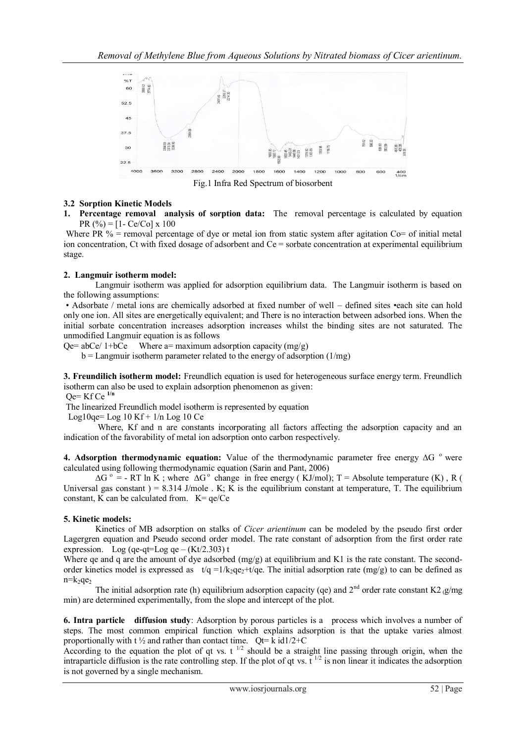

Fig.1 Infra Red Spectrum of biosorbent

# **3.2 Sorption Kinetic Models**

**1. Percentage removal analysis of sorption data:** The removal percentage is calculated by equation PR  $(%) = [1 - Ce/Co] \times 100$ 

Where PR  $%$  = removal percentage of dye or metal ion from static system after agitation Co= of initial metal ion concentration, Ct with fixed dosage of adsorbent and  $Ce =$  sorbate concentration at experimental equilibrium stage.

### **2. Langmuir isotherm model:**

Langmuir isotherm was applied for adsorption equilibrium data. The Langmuir isotherm is based on the following assumptions:

• Adsorbate / metal ions are chemically adsorbed at fixed number of well – defined sites •each site can hold only one ion. All sites are energetically equivalent; and There is no interaction between adsorbed ions. When the initial sorbate concentration increases adsorption increases whilst the binding sites are not saturated. The unmodified Langmuir equation is as follows

 $Qe= abce/ 1+bCe$  Where a= maximum adsorption capacity (mg/g)

 $b =$  Langmuir isotherm parameter related to the energy of adsorption (1/mg)

**3. Freundilich isotherm model:** Freundlich equation is used for heterogeneous surface energy term. Freundlich isotherm can also be used to explain adsorption phenomenon as given:

Qe= Kf Ce **1/n**

The linearized Freundlich model isotherm is represented by equation

Log10qe=  $Log 10 Kf + 1/n Log 10 Ce$ 

Where, Kf and n are constants incorporating all factors affecting the adsorption capacity and an indication of the favorability of metal ion adsorption onto carbon respectively.

**4. Adsorption thermodynamic equation:** Value of the thermodynamic parameter free energy ∆G ° were calculated using following thermodynamic equation (Sarin and Pant, 2006)

 $\Delta G^{\circ}$  = - RT ln K; where  $\Delta G^{\circ}$  change in free energy (KJ/mol); T = Absolute temperature (K), R ( Universal gas constant  $) = 8.314$  J/mole . K; K is the equilibrium constant at temperature, T. The equilibrium constant, K can be calculated from.  $K = \frac{qe}{Ce}$ 

### **5. Kinetic models:**

Kinetics of MB adsorption on stalks of *Cicer arientinum* can be modeled by the pseudo first order Lagergren equation and Pseudo second order model. The rate constant of adsorption from the first order rate expression. Log (qe-qt=Log qe –  $(Kt/2.303)$  t

Where qe and q are the amount of dye adsorbed (mg/g) at equilibrium and K1 is the rate constant. The secondorder kinetics model is expressed as  $t/q = 1/k_2q + t/qe$ . The initial adsorption rate (mg/g) to can be defined as  $n=k_2qe_2$ 

The initial adsorption rate (h) equilibrium adsorption capacity (qe) and  $2<sup>nd</sup>$  order rate constant K2  $_{\alpha}$ /mg min) are determined experimentally, from the slope and intercept of the plot.

**6. Intra particle diffusion study**: Adsorption by porous particles is a process which involves a number of steps. The most common empirical function which explains adsorption is that the uptake varies almost proportionally with t  $\frac{1}{2}$  and rather than contact time. Qt= k id1/2+C

According to the equation the plot of qt vs. t<sup>1/2</sup> should be a straight line passing through origin, when the intraparticle diffusion is the rate controlling step. If the plot of qt vs.  $t^{1/2}$  is non linear it indicates the adsorption is not governed by a single mechanism.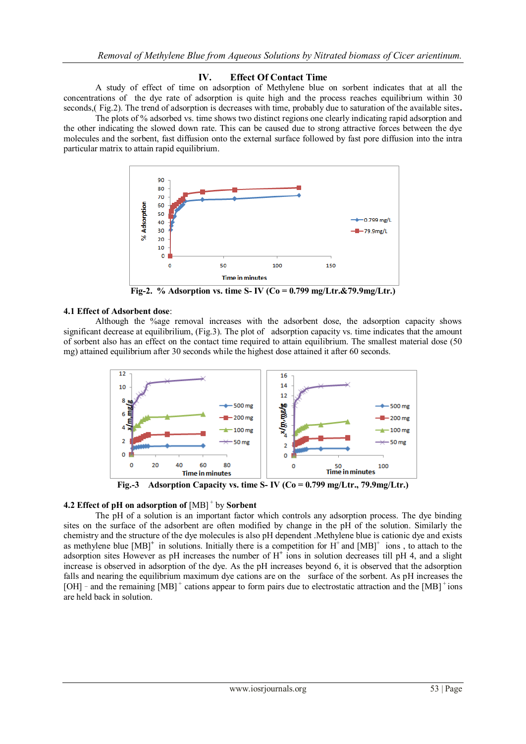#### **IV. Effect Of Contact Time**

A study of effect of time on adsorption of Methylene blue on sorbent indicates that at all the concentrations of the dye rate of adsorption is quite high and the process reaches equilibrium within 30 seconds,( Fig.2). The trend of adsorption is decreases with time, probably due to saturation of the available sites**.** 

The plots of % adsorbed vs. time shows two distinct regions one clearly indicating rapid adsorption and the other indicating the slowed down rate. This can be caused due to strong attractive forces between the dye molecules and the sorbent, fast diffusion onto the external surface followed by fast pore diffusion into the intra particular matrix to attain rapid equilibrium.



**Fig-2. % Adsorption vs. time S- IV (Co = 0.799 mg/Ltr.&79.9mg/Ltr.)**

#### **4.1 Effect of Adsorbent dose**:

Although the %age removal increases with the adsorbent dose, the adsorption capacity shows significant decrease at equilibrilium, (Fig.3). The plot of adsorption capacity vs. time indicates that the amount of sorbent also has an effect on the contact time required to attain equilibrium. The smallest material dose (50 mg) attained equilibrium after 30 seconds while the highest dose attained it after 60 seconds.



**Fig.-3 Adsorption Capacity vs. time S- IV (Co = 0.799 mg/Ltr., 79.9mg/Ltr.)**

#### **4.2 Effect of pH on adsorption of** [MB] + by **Sorbent**

The pH of a solution is an important factor which controls any adsorption process. The dye binding sites on the surface of the adsorbent are often modified by change in the pH of the solution. Similarly the chemistry and the structure of the dye molecules is also pH dependent .Methylene blue is cationic dye and exists as methylene blue  $[MB]^+$  in solutions. Initially there is a competition for  $H^+$  and  $[MB]^+$  ions, to attach to the adsorption sites However as pH increases the number of H<sup>+</sup> ions in solution decreases till pH 4, and a slight increase is observed in adsorption of the dye. As the pH increases beyond 6, it is observed that the adsorption falls and nearing the equilibrium maximum dye cations are on the surface of the sorbent. As pH increases the [OH] - and the remaining [MB]<sup>+</sup> cations appear to form pairs due to electrostatic attraction and the [MB]<sup>+</sup> ions are held back in solution.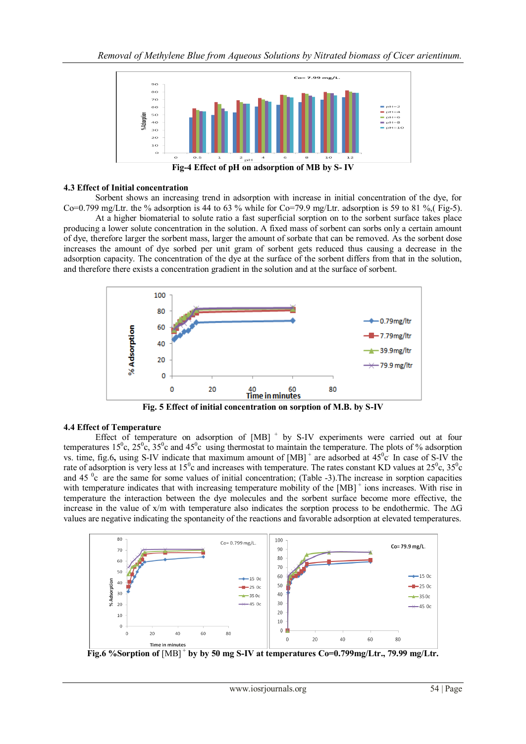

#### **4.3 Effect of Initial concentration**

Sorbent shows an increasing trend in adsorption with increase in initial concentration of the dye, for Co=0.799 mg/Ltr. the % adsorption is 44 to 63 % while for Co=79.9 mg/Ltr. adsorption is 59 to 81 % (Fig-5).

At a higher biomaterial to solute ratio a fast superficial sorption on to the sorbent surface takes place producing a lower solute concentration in the solution. A fixed mass of sorbent can sorbs only a certain amount of dye, therefore larger the sorbent mass, larger the amount of sorbate that can be removed. As the sorbent dose increases the amount of dye sorbed per unit gram of sorbent gets reduced thus causing a decrease in the adsorption capacity. The concentration of the dye at the surface of the sorbent differs from that in the solution, and therefore there exists a concentration gradient in the solution and at the surface of sorbent.



**Fig. 5 Effect of initial concentration on sorption of M.B. by S-IV**

#### **4.4 Effect of Temperature**

Effect of temperature on adsorption of  $[MB]$ <sup>+</sup> by S-IV experiments were carried out at four temperatures  $15^{\circ}$ c,  $25^{\circ}$ c,  $35^{\circ}$ c and  $45^{\circ}$ c using thermostat to maintain the temperature. The plots of % adsorption vs. time, fig.6, using S-IV indicate that maximum amount of  $[MB]$ <sup>+</sup> are adsorbed at  $45^{\circ}c$ . In case of S-IV the rate of adsorption is very less at  $15^{\circ}$ c and increases with temperature. The rates constant KD values at  $25^{\circ}$ c,  $35^{\circ}$ c and  $45<sup>o</sup>c$  are the same for some values of initial concentration; (Table -3). The increase in sorption capacities with temperature indicates that with increasing temperature mobility of the [MB]<sup>+</sup> ions increases. With rise in temperature the interaction between the dye molecules and the sorbent surface become more effective, the increase in the value of x/m with temperature also indicates the sorption process to be endothermic. The **∆**G values are negative indicating the spontaneity of the reactions and favorable adsorption at elevated temperatures.



Fig.6 %Sorption of  $[MB]^+$  by by 50 mg S-IV at temperatures Co=0.799mg/Ltr., 79.99 mg/Ltr.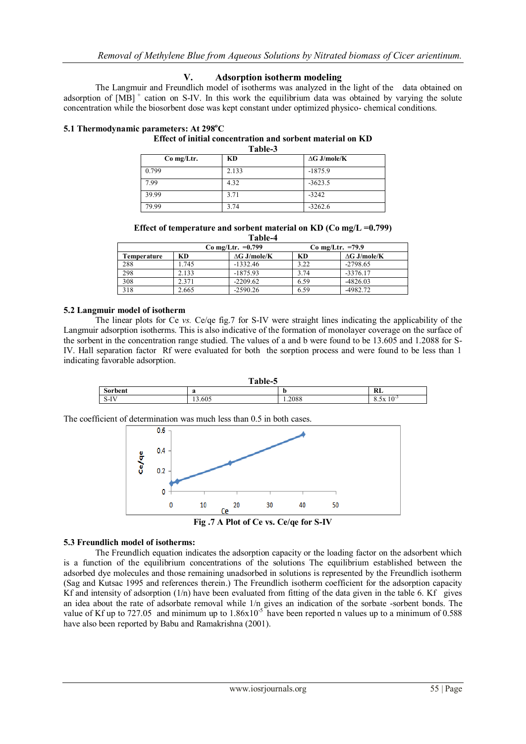#### **V. Adsorption isotherm modeling**

The Langmuir and Freundlich model of isotherms was analyzed in the light of the data obtained on adsorption of [MB]<sup>+</sup> cation on S-IV. In this work the equilibrium data was obtained by varying the solute concentration while the biosorbent dose was kept constant under optimized physico- chemical conditions.

# **5.1 Thermodynamic parameters: At 298<sup>o</sup>C**

#### **Effect of initial concentration and sorbent material on KD Table-3**

| Co mg/Ltr. | KD    | $\Delta G$ J/mole/K |
|------------|-------|---------------------|
| 0.799      | 2.133 | $-1875.9$           |
| 7.99       | 4.32  | $-3623.5$           |
| 39.99      | 3.71  | $-3242$             |
| 79.99      | 3.74  | $-3262.6$           |

**Effect of temperature and sorbent material on KD (Co mg/L =0.799) Table-4**

| .                   |       |                     |                    |                     |
|---------------------|-------|---------------------|--------------------|---------------------|
| Co mg/Ltr. $=0.799$ |       |                     | Co mg/Ltr. $=79.9$ |                     |
| Temperature         | KD    | $\Delta G$ J/mole/K | KD                 | $\Delta G$ J/mole/K |
| 288                 | 1.745 | $-1332.46$          | 3.22               | $-2798.65$          |
| 298                 | 2.133 | $-1875.93$          | 3.74               | $-3376.17$          |
| 308                 | 2.371 | $-2209.62$          | 6.59               | $-4826.03$          |
| 318                 | 2.665 | $-2590.26$          | 6.59               | -4982.72            |

#### **5.2 Langmuir model of isotherm**

The linear plots for Ce *vs.* Ce/qe fig.7 for S-IV were straight lines indicating the applicability of the Langmuir adsorption isotherms. This is also indicative of the formation of monolayer coverage on the surface of the sorbent in the concentration range studied. The values of a and b were found to be 13.605 and 1.2088 for S-IV. Hall separation factor Rf were evaluated for both the sorption process and were found to be less than 1 indicating favorable adsorption.



The coefficient of determination was much less than 0.5 in both cases.



**Fig .7 A Plot of Ce vs. Ce/qe for S-IV**

### **5.3 Freundlich model of isotherms:**

The Freundlich equation indicates the adsorption capacity or the loading factor on the adsorbent which is a function of the equilibrium concentrations of the solutions The equilibrium established between the adsorbed dye molecules and those remaining unadsorbed in solutions is represented by the Freundlich isotherm (Sag and Kutsac 1995 and references therein.) The Freundlich isotherm coefficient for the adsorption capacity Kf and intensity of adsorption  $(1/n)$  have been evaluated from fitting of the data given in the table 6. Kf gives an idea about the rate of adsorbate removal while 1/n gives an indication of the sorbate -sorbent bonds. The value of Kf up to 727.05 and minimum up to  $1.86 \times 10^{-5}$  have been reported n values up to a minimum of 0.588 have also been reported by Babu and Ramakrishna (2001).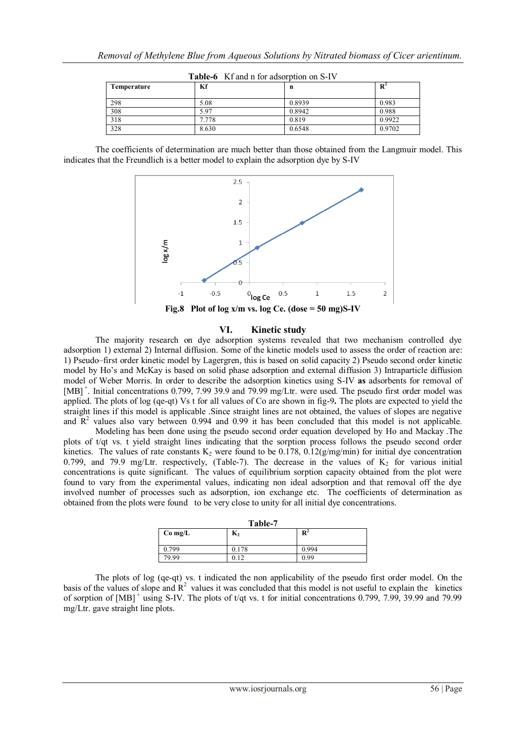| Temperature | Kf    | n      | $\mathbf{R}^2$ |
|-------------|-------|--------|----------------|
| 298         | 5.08  | 0.8939 | 0.983          |
| 308         | 5.97  | 0.8942 | 0.988          |
| 318         | 7.778 | 0.819  | 0.9922         |
| 328         | 8.630 | 0.6548 | 0.9702         |

|  | Table-6 Kf and n for adsorption on S-IV |  |  |  |
|--|-----------------------------------------|--|--|--|
|--|-----------------------------------------|--|--|--|

The coefficients of determination are much better than those obtained from the Langmuir model. This indicates that the Freundlich is a better model to explain the adsorption dye by S-IV



### **VI. Kinetic study**

The majority research on dye adsorption systems revealed that two mechanism controlled dye adsorption 1) external 2) Internal diffusion. Some of the kinetic models used to assess the order of reaction are: 1) Pseudo–first order kinetic model by Lagergren, this is based on solid capacity 2) Pseudo second order kinetic model by Ho's and McKay is based on solid phase adsorption and external diffusion 3) Intraparticle diffusion model of Weber Morris. In order to describe the adsorption kinetics using S-IV **as** adsorbents for removal of [MB]<sup>+</sup>. Initial concentrations 0.799, 7.99 39.9 and 79.99 mg/Ltr. were used. The pseudo first order model was applied. The plots of log (qe-qt) Vs t for all values of Co are shown in fig-9**.** The plots are expected to yield the straight lines if this model is applicable .Since straight lines are not obtained, the values of slopes are negative and  $\overline{R}^2$  values also vary between 0.994 and 0.99 it has been concluded that this model is not applicable.

Modeling has been done using the pseudo second order equation developed by Ho and Mackay .The plots of t/qt vs. t yield straight lines indicating that the sorption process follows the pseudo second order kinetics. The values of rate constants  $K_2$  were found to be 0.178, 0.12(g/mg/min) for initial dye concentration 0.799, and 79.9 mg/Ltr. respectively, (Table-7). The decrease in the values of  $K_2$  for various initial concentrations is quite significant. The values of equilibrium sorption capacity obtained from the plot were found to vary from the experimental values, indicating non ideal adsorption and that removal off the dye involved number of processes such as adsorption, ion exchange etc. The coefficients of determination as obtained from the plots were found to be very close to unity for all initial dye concentrations.

| Table-7            |       |                |  |
|--------------------|-------|----------------|--|
| $K_2$<br>$Co$ mg/L |       | $\mathbf{R}^2$ |  |
|                    |       |                |  |
| 0.799              | 0.178 | 0.994          |  |
| 79.99              | 0.12  | 0.99           |  |

**Table-7**

The plots of log (qe-qt) vs. t indicated the non applicability of the pseudo first order model. On the basis of the values of slope and  $R^2$  values it was concluded that this model is not useful to explain the kinetics of sorption of  $[MB]^+$  using S-IV. The plots of t/qt vs. t for initial concentrations 0.799, 7.99, 39.99 and 79.99 mg/Ltr. gave straight line plots.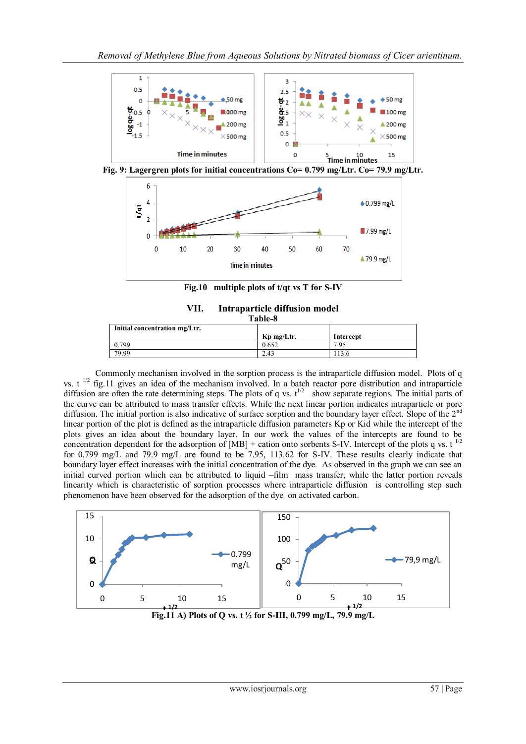

**Fig.10 multiple plots of t/qt vs T for S-IV**

| VII. | Intraparticle diffusion model |
|------|-------------------------------|
|      | <b>Table-8</b>                |

| тарис-о                       |            |           |  |
|-------------------------------|------------|-----------|--|
| Initial concentration mg/Ltr. |            |           |  |
|                               | Kp mg/Ltr. | Intercept |  |
| .799                          | 0.652      | 7.95      |  |
| 79.99                         | 2.43       | 13.6      |  |

Commonly mechanism involved in the sorption process is the intraparticle diffusion model. Plots of q vs.  $t<sup>1/2</sup>$  fig.11 gives an idea of the mechanism involved. In a batch reactor pore distribution and intraparticle diffusion are often the rate determining steps. The plots of q vs.  $t^{1/2}$  show separate regions. The initial parts of the curve can be attributed to mass transfer effects. While the next linear portion indicates intraparticle or pore diffusion. The initial portion is also indicative of surface sorption and the boundary layer effect. Slope of the 2<sup>nd</sup> linear portion of the plot is defined as the intraparticle diffusion parameters Kp or Kid while the intercept of the plots gives an idea about the boundary layer. In our work the values of the intercepts are found to be concentration dependent for the adsorption of  $[MB]$  + cation onto sorbents S-IV. Intercept of the plots q vs. t<sup>1/2</sup> for 0.799 mg/L and 79.9 mg/L are found to be 7.95, 113.62 for S-IV. These results clearly indicate that boundary layer effect increases with the initial concentration of the dye. As observed in the graph we can see an initial curved portion which can be attributed to liquid –film mass transfer, while the latter portion reveals linearity which is characteristic of sorption processes where intraparticle diffusion is controlling step such phenomenon have been observed for the adsorption of the dye on activated carbon.



**Fig.11 A)** Plots of Q vs. t<sup>1</sup>/2 for S-III, 0.799 mg/L, 79.9 mg/L